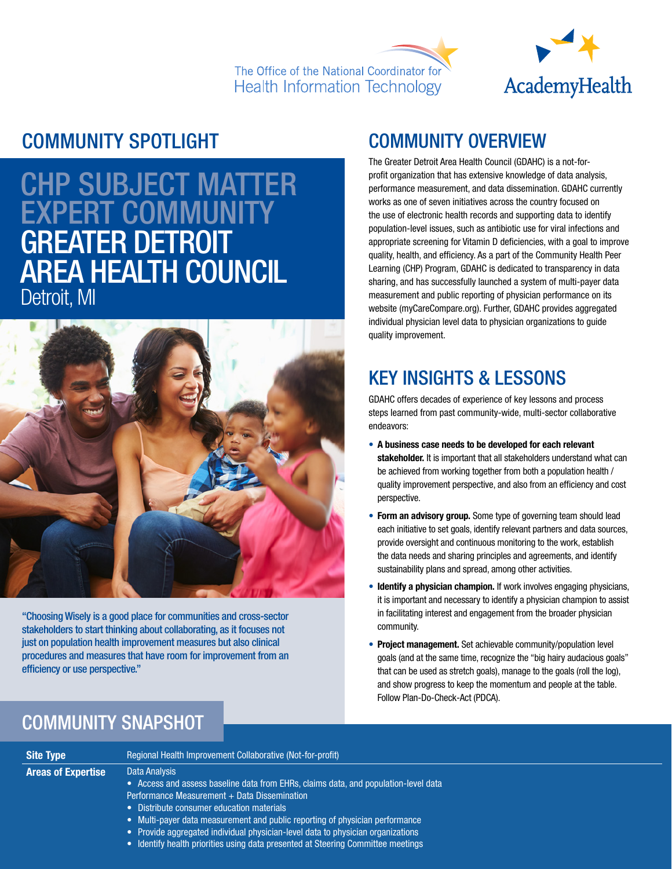



### COMMUNITY SPOTLIGHT

# CHP SUBJECT MATTER EXPERT COMMUNITY GREATER DETROIT AREA HEALTH COUNCIL Detroit, MI



"Choosing Wisely is a good place for communities and cross-sector stakeholders to start thinking about collaborating, as it focuses not just on population health improvement measures but also clinical procedures and measures that have room for improvement from an efficiency or use perspective."

### COMMUNITY OVERVIEW

The Greater Detroit Area Health Council (GDAHC) is a not-forprofit organization that has extensive knowledge of data analysis, performance measurement, and data dissemination. GDAHC currently works as one of seven initiatives across the country focused on the use of electronic health records and supporting data to identify population-level issues, such as antibiotic use for viral infections and appropriate screening for Vitamin D deficiencies, with a goal to improve quality, health, and efficiency. As a part of the Community Health Peer Learning (CHP) Program, GDAHC is dedicated to transparency in data sharing, and has successfully launched a system of multi-payer data measurement and public reporting of physician performance on its website (myCareCompare.org). Further, GDAHC provides aggregated individual physician level data to physician organizations to guide quality improvement.

## KEY INSIGHTS & LESSONS

GDAHC offers decades of experience of key lessons and process steps learned from past community-wide, multi-sector collaborative endeavors:

- A business case needs to be developed for each relevant stakeholder. It is important that all stakeholders understand what can be achieved from working together from both a population health / quality improvement perspective, and also from an efficiency and cost perspective.
- Form an advisory group. Some type of governing team should lead each initiative to set goals, identify relevant partners and data sources, provide oversight and continuous monitoring to the work, establish the data needs and sharing principles and agreements, and identify sustainability plans and spread, among other activities.
- Identify a physician champion. If work involves engaging physicians, it is important and necessary to identify a physician champion to assist in facilitating interest and engagement from the broader physician community.
- Project management. Set achievable community/population level goals (and at the same time, recognize the "big hairy audacious goals" that can be used as stretch goals), manage to the goals (roll the log), and show progress to keep the momentum and people at the table. Follow Plan-Do-Check-Act (PDCA).

### COMMUNITY SNAPSHOT

| <b>Site Type</b>          | Regional Health Improvement Collaborative (Not-for-profit)                                                                                                                                                                                                                                                                                                                                                                                               |
|---------------------------|----------------------------------------------------------------------------------------------------------------------------------------------------------------------------------------------------------------------------------------------------------------------------------------------------------------------------------------------------------------------------------------------------------------------------------------------------------|
| <b>Areas of Expertise</b> | Data Analysis<br>• Access and assess baseline data from EHRs, claims data, and population-level data<br>Performance Measurement + Data Dissemination<br>• Distribute consumer education materials<br>• Multi-payer data measurement and public reporting of physician performance<br>• Provide aggregated individual physician-level data to physician organizations<br>• Identify health priorities using data presented at Steering Committee meetings |